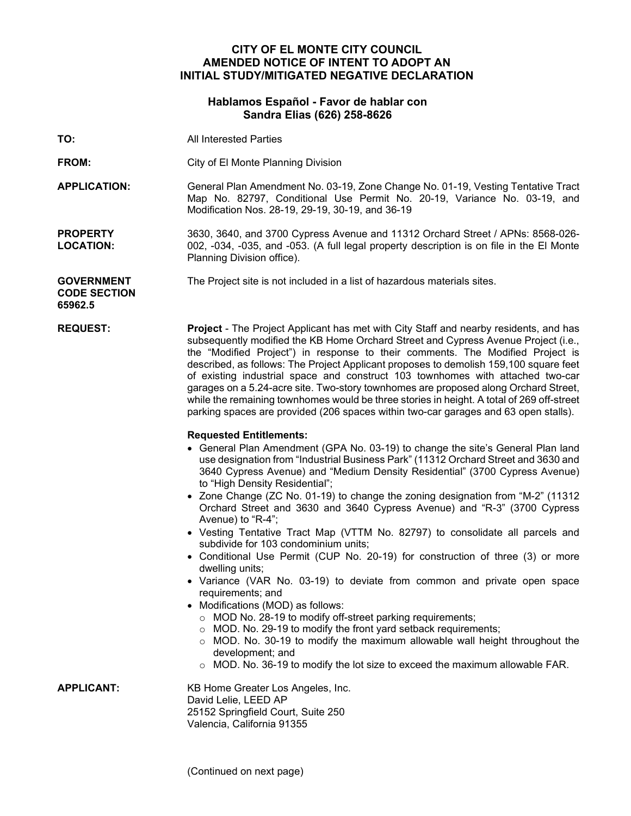# **CITY OF EL MONTE CITY COUNCIL AMENDED NOTICE OF INTENT TO ADOPT AN INITIAL STUDY/MITIGATED NEGATIVE DECLARATION**

## **Hablamos Español - Favor de hablar con Sandra Elias (626) 258-8626**

**TO:** All Interested Parties

**FROM:** City of El Monte Planning Division

**APPLICATION:** General Plan Amendment No. 03-19, Zone Change No. 01-19, Vesting Tentative Tract Map No. 82797, Conditional Use Permit No. 20-19, Variance No. 03-19, and Modification Nos. 28-19, 29-19, 30-19, and 36-19

**PROPERTY LOCATION:** 3630, 3640, and 3700 Cypress Avenue and 11312 Orchard Street / APNs: 8568-026- 002, -034, -035, and -053. (A full legal property description is on file in the El Monte Planning Division office).

**GOVERNMENT CODE SECTION** The Project site is not included in a list of hazardous materials sites.

**65962.5**

**REQUEST: Project** - The Project Applicant has met with City Staff and nearby residents, and has subsequently modified the KB Home Orchard Street and Cypress Avenue Project (i.e., the "Modified Project") in response to their comments. The Modified Project is described, as follows: The Project Applicant proposes to demolish 159,100 square feet of existing industrial space and construct 103 townhomes with attached two-car garages on a 5.24-acre site. Two-story townhomes are proposed along Orchard Street, while the remaining townhomes would be three stories in height. A total of 269 off-street parking spaces are provided (206 spaces within two-car garages and 63 open stalls).

### **Requested Entitlements:**

- General Plan Amendment (GPA No. 03-19) to change the site's General Plan land use designation from "Industrial Business Park" (11312 Orchard Street and 3630 and 3640 Cypress Avenue) and "Medium Density Residential" (3700 Cypress Avenue) to "High Density Residential";
- Zone Change (ZC No. 01-19) to change the zoning designation from "M-2" (11312 Orchard Street and 3630 and 3640 Cypress Avenue) and "R-3" (3700 Cypress Avenue) to "R-4";
- Vesting Tentative Tract Map (VTTM No. 82797) to consolidate all parcels and subdivide for 103 condominium units;
- Conditional Use Permit (CUP No. 20-19) for construction of three (3) or more dwelling units;
- Variance (VAR No. 03-19) to deviate from common and private open space requirements; and
- Modifications (MOD) as follows:
	- o MOD No. 28-19 to modify off-street parking requirements;
	- o MOD. No. 29-19 to modify the front yard setback requirements;
	- o MOD. No. 30-19 to modify the maximum allowable wall height throughout the development; and
	- o MOD. No. 36-19 to modify the lot size to exceed the maximum allowable FAR.

**APPLICANT:** KB Home Greater Los Angeles, Inc. David Lelie, LEED AP 25152 Springfield Court, Suite 250 Valencia, California 91355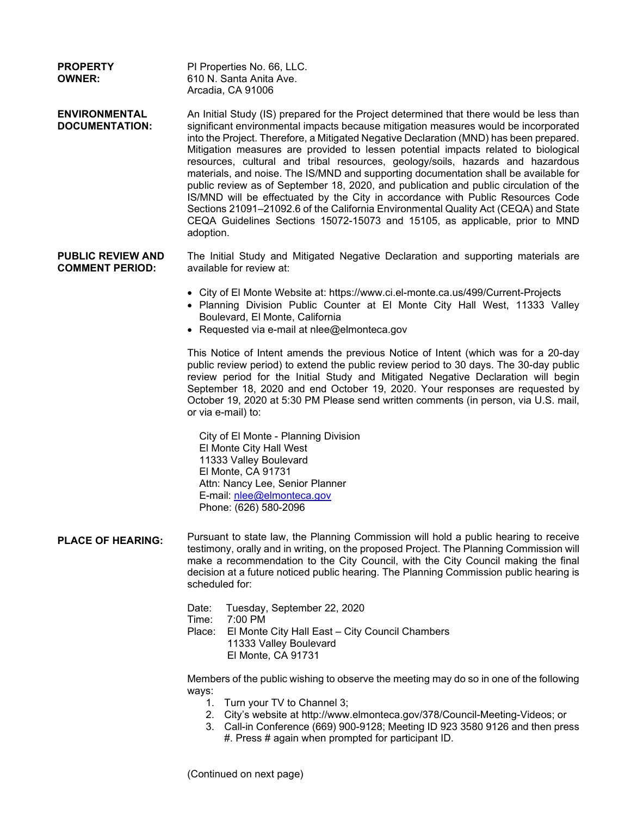| <b>PROPERTY</b><br><b>OWNER:</b>                   | PI Properties No. 66, LLC.<br>610 N. Santa Anita Ave.<br>Arcadia, CA 91006                                                                                                                                                                                                                                                                                                                                                                                                                                                                                                                                                                                                                                                                                                                                                                                                                              |
|----------------------------------------------------|---------------------------------------------------------------------------------------------------------------------------------------------------------------------------------------------------------------------------------------------------------------------------------------------------------------------------------------------------------------------------------------------------------------------------------------------------------------------------------------------------------------------------------------------------------------------------------------------------------------------------------------------------------------------------------------------------------------------------------------------------------------------------------------------------------------------------------------------------------------------------------------------------------|
| <b>ENVIRONMENTAL</b><br><b>DOCUMENTATION:</b>      | An Initial Study (IS) prepared for the Project determined that there would be less than<br>significant environmental impacts because mitigation measures would be incorporated<br>into the Project. Therefore, a Mitigated Negative Declaration (MND) has been prepared.<br>Mitigation measures are provided to lessen potential impacts related to biological<br>resources, cultural and tribal resources, geology/soils, hazards and hazardous<br>materials, and noise. The IS/MND and supporting documentation shall be available for<br>public review as of September 18, 2020, and publication and public circulation of the<br>IS/MND will be effectuated by the City in accordance with Public Resources Code<br>Sections 21091-21092.6 of the California Environmental Quality Act (CEQA) and State<br>CEQA Guidelines Sections 15072-15073 and 15105, as applicable, prior to MND<br>adoption. |
| <b>PUBLIC REVIEW AND</b><br><b>COMMENT PERIOD:</b> | The Initial Study and Mitigated Negative Declaration and supporting materials are<br>available for review at:                                                                                                                                                                                                                                                                                                                                                                                                                                                                                                                                                                                                                                                                                                                                                                                           |
|                                                    | • City of El Monte Website at: https://www.ci.el-monte.ca.us/499/Current-Projects<br>• Planning Division Public Counter at El Monte City Hall West, 11333 Valley<br>Boulevard, El Monte, California<br>• Requested via e-mail at nlee@elmonteca.gov                                                                                                                                                                                                                                                                                                                                                                                                                                                                                                                                                                                                                                                     |
|                                                    | This Notice of Intent amends the previous Notice of Intent (which was for a 20-day<br>public review period) to extend the public review period to 30 days. The 30-day public<br>review period for the Initial Study and Mitigated Negative Declaration will begin<br>September 18, 2020 and end October 19, 2020. Your responses are requested by<br>October 19, 2020 at 5:30 PM Please send written comments (in person, via U.S. mail,<br>or via e-mail) to:                                                                                                                                                                                                                                                                                                                                                                                                                                          |
|                                                    | City of El Monte - Planning Division<br>El Monte City Hall West<br>11333 Valley Boulevard<br>El Monte, CA 91731<br>Attn: Nancy Lee, Senior Planner<br>E-mail: nlee@elmonteca.gov<br>Phone: (626) 580-2096                                                                                                                                                                                                                                                                                                                                                                                                                                                                                                                                                                                                                                                                                               |
| <b>PLACE OF HEARING:</b>                           | Pursuant to state law, the Planning Commission will hold a public hearing to receive<br>testimony, orally and in writing, on the proposed Project. The Planning Commission will<br>make a recommendation to the City Council, with the City Council making the final<br>decision at a future noticed public hearing. The Planning Commission public hearing is<br>scheduled for:                                                                                                                                                                                                                                                                                                                                                                                                                                                                                                                        |
|                                                    | Tuesday, September 22, 2020<br>Date:<br>Time:<br>7:00 PM<br>Place:<br>El Monte City Hall East - City Council Chambers<br>11333 Valley Boulevard<br>El Monte, CA 91731                                                                                                                                                                                                                                                                                                                                                                                                                                                                                                                                                                                                                                                                                                                                   |
|                                                    | Members of the public wishing to observe the meeting may do so in one of the following<br>ways:<br>Turn your TV to Channel 3;<br>1.<br>2. City's website at http://www.elmonteca.gov/378/Council-Meeting-Videos; or<br>3. Call-in Conference (669) 900-9128; Meeting ID 923 3580 9126 and then press<br>#. Press # again when prompted for participant ID.                                                                                                                                                                                                                                                                                                                                                                                                                                                                                                                                              |